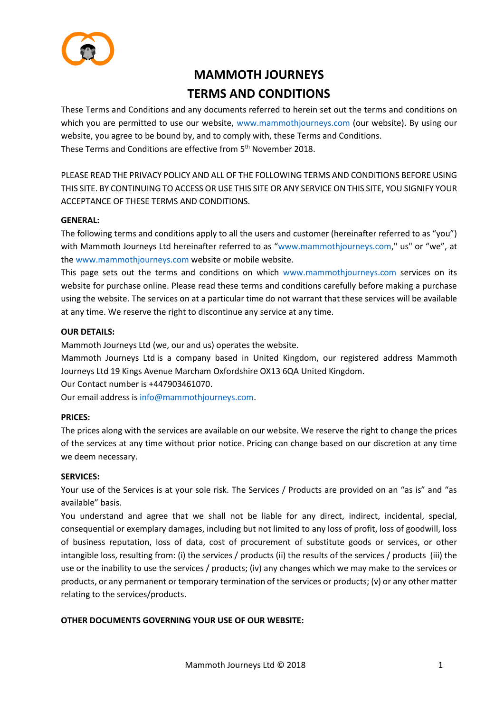

# **MAMMOTH JOURNEYS TERMS AND CONDITIONS**

These Terms and Conditions and any documents referred to herein set out the terms and conditions on which you are permitted to use our website, [www.mammothjourneys.com](http://www.mammothjourneys.com/) (our website). By using our website, you agree to be bound by, and to comply with, these Terms and Conditions. These Terms and Conditions are effective from 5<sup>th</sup> November 2018.

PLEASE READ THE PRIVACY POLICY AND ALL OF THE FOLLOWING TERMS AND CONDITIONS BEFORE USING THIS SITE. BY CONTINUING TO ACCESS OR USE THIS SITE OR ANY SERVICE ON THIS SITE, YOU SIGNIFY YOUR ACCEPTANCE OF THESE TERMS AND CONDITIONS.

## **GENERAL:**

The following terms and conditions apply to all the users and customer (hereinafter referred to as "you") with Mammoth Journeys Ltd hereinafter referred to as "[www.mammothjourneys.com,](http://www.mammothjourneys.com/)" us" or "we", at the [www.mammothjourneys.com](http://www.mammothjourneys.com/) website or mobile website.

This page sets out the terms and conditions on which [www.mammothjourneys.com](http://www.mammothjourneys.com/) services on its website for purchase online. Please read these terms and conditions carefully before making a purchase using the website. The services on at a particular time do not warrant that these services will be available at any time. We reserve the right to discontinue any service at any time.

## **OUR DETAILS:**

Mammoth Journeys Ltd (we, our and us) operates the website.

Mammoth Journeys Ltd is a company based in United Kingdom, our registered address Mammoth Journeys Ltd 19 Kings Avenue Marcham Oxfordshire OX13 6QA United Kingdom.

Our Contact number is +447903461070.

Our email address is [info@mammothjourneys.com.](mailto:INFO@MAMMOTHJOURNEYS.COM)

#### **PRICES:**

The prices along with the services are available on our website. We reserve the right to change the prices of the services at any time without prior notice. Pricing can change based on our discretion at any time we deem necessary.

#### **SERVICES:**

Your use of the Services is at your sole risk. The Services / Products are provided on an "as is" and "as available" basis.

You understand and agree that we shall not be liable for any direct, indirect, incidental, special, consequential or exemplary damages, including but not limited to any loss of profit, loss of goodwill, loss of business reputation, loss of data, cost of procurement of substitute goods or services, or other intangible loss, resulting from: (i) the services / products (ii) the results of the services / products (iii) the use or the inability to use the services / products; (iv) any changes which we may make to the services or products, or any permanent or temporary termination of the services or products; (v) or any other matter relating to the services/products.

# **OTHER DOCUMENTS GOVERNING YOUR USE OF OUR WEBSITE:**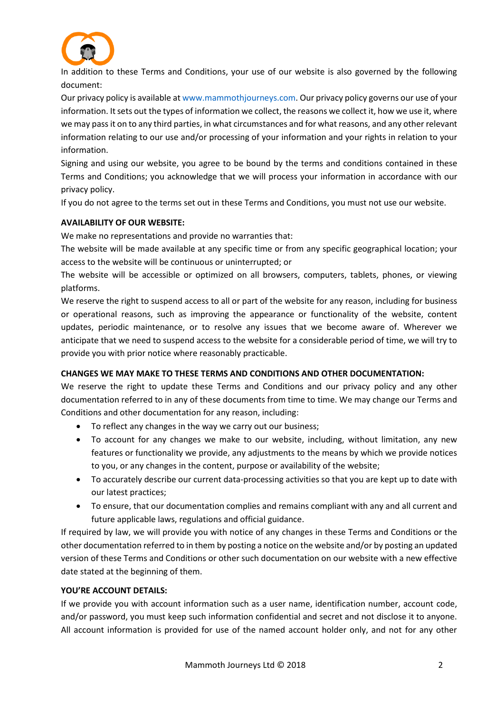

In addition to these Terms and Conditions, your use of our website is also governed by the following document:

Our privacy policy is available a[t www.mammothjourneys.com.](http://www.mammothjourneys.com/) Our privacy policy governs our use of your information. It sets out the types of information we collect, the reasons we collect it, how we use it, where we may pass it on to any third parties, in what circumstances and for what reasons, and any other relevant information relating to our use and/or processing of your information and your rights in relation to your information.

Signing and using our website, you agree to be bound by the terms and conditions contained in these Terms and Conditions; you acknowledge that we will process your information in accordance with our privacy policy.

If you do not agree to the terms set out in these Terms and Conditions, you must not use our website.

# **AVAILABILITY OF OUR WEBSITE:**

We make no representations and provide no warranties that:

The website will be made available at any specific time or from any specific geographical location; your access to the website will be continuous or uninterrupted; or

The website will be accessible or optimized on all browsers, computers, tablets, phones, or viewing platforms.

We reserve the right to suspend access to all or part of the website for any reason, including for business or operational reasons, such as improving the appearance or functionality of the website, content updates, periodic maintenance, or to resolve any issues that we become aware of. Wherever we anticipate that we need to suspend access to the website for a considerable period of time, we will try to provide you with prior notice where reasonably practicable.

# **CHANGES WE MAY MAKE TO THESE TERMS AND CONDITIONS AND OTHER DOCUMENTATION:**

We reserve the right to update these Terms and Conditions and our privacy policy and any other documentation referred to in any of these documents from time to time. We may change our Terms and Conditions and other documentation for any reason, including:

- To reflect any changes in the way we carry out our business;
- To account for any changes we make to our website, including, without limitation, any new features or functionality we provide, any adjustments to the means by which we provide notices to you, or any changes in the content, purpose or availability of the website;
- To accurately describe our current data-processing activities so that you are kept up to date with our latest practices;
- To ensure, that our documentation complies and remains compliant with any and all current and future applicable laws, regulations and official guidance.

If required by law, we will provide you with notice of any changes in these Terms and Conditions or the other documentation referred to in them by posting a notice on the website and/or by posting an updated version of these Terms and Conditions or other such documentation on our website with a new effective date stated at the beginning of them.

# **YOU'RE ACCOUNT DETAILS:**

If we provide you with account information such as a user name, identification number, account code, and/or password, you must keep such information confidential and secret and not disclose it to anyone. All account information is provided for use of the named account holder only, and not for any other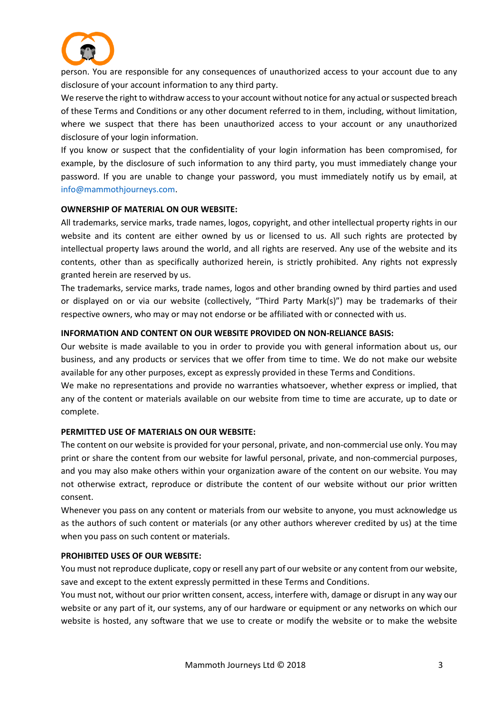

person. You are responsible for any consequences of unauthorized access to your account due to any disclosure of your account information to any third party.

We reserve the right to withdraw access to your account without notice for any actual or suspected breach of these Terms and Conditions or any other document referred to in them, including, without limitation, where we suspect that there has been unauthorized access to your account or any unauthorized disclosure of your login information.

If you know or suspect that the confidentiality of your login information has been compromised, for example, by the disclosure of such information to any third party, you must immediately change your password. If you are unable to change your password, you must immediately notify us by email, at [info@mammothjourneys.com.](mailto:INFO@MAMMOTHJOURNEYS.COM)

#### **OWNERSHIP OF MATERIAL ON OUR WEBSITE:**

All trademarks, service marks, trade names, logos, copyright, and other intellectual property rights in our website and its content are either owned by us or licensed to us. All such rights are protected by intellectual property laws around the world, and all rights are reserved. Any use of the website and its contents, other than as specifically authorized herein, is strictly prohibited. Any rights not expressly granted herein are reserved by us.

The trademarks, service marks, trade names, logos and other branding owned by third parties and used or displayed on or via our website (collectively, "Third Party Mark(s)") may be trademarks of their respective owners, who may or may not endorse or be affiliated with or connected with us.

## **INFORMATION AND CONTENT ON OUR WEBSITE PROVIDED ON NON-RELIANCE BASIS:**

Our website is made available to you in order to provide you with general information about us, our business, and any products or services that we offer from time to time. We do not make our website available for any other purposes, except as expressly provided in these Terms and Conditions.

We make no representations and provide no warranties whatsoever, whether express or implied, that any of the content or materials available on our website from time to time are accurate, up to date or complete.

#### **PERMITTED USE OF MATERIALS ON OUR WEBSITE:**

The content on our website is provided for your personal, private, and non-commercial use only. You may print or share the content from our website for lawful personal, private, and non-commercial purposes, and you may also make others within your organization aware of the content on our website. You may not otherwise extract, reproduce or distribute the content of our website without our prior written consent.

Whenever you pass on any content or materials from our website to anyone, you must acknowledge us as the authors of such content or materials (or any other authors wherever credited by us) at the time when you pass on such content or materials.

#### **PROHIBITED USES OF OUR WEBSITE:**

You must not reproduce duplicate, copy or resell any part of our website or any content from our website, save and except to the extent expressly permitted in these Terms and Conditions.

You must not, without our prior written consent, access, interfere with, damage or disrupt in any way our website or any part of it, our systems, any of our hardware or equipment or any networks on which our website is hosted, any software that we use to create or modify the website or to make the website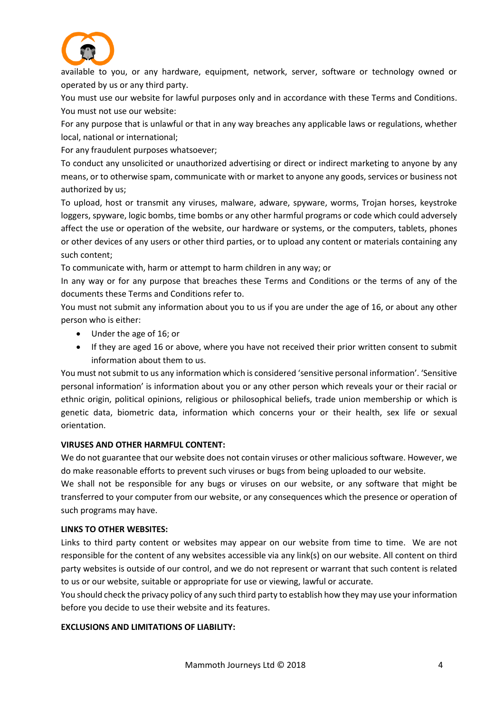

available to you, or any hardware, equipment, network, server, software or technology owned or operated by us or any third party.

You must use our website for lawful purposes only and in accordance with these Terms and Conditions. You must not use our website:

For any purpose that is unlawful or that in any way breaches any applicable laws or regulations, whether local, national or international;

For any fraudulent purposes whatsoever;

To conduct any unsolicited or unauthorized advertising or direct or indirect marketing to anyone by any means, or to otherwise spam, communicate with or market to anyone any goods, services or business not authorized by us;

To upload, host or transmit any viruses, malware, adware, spyware, worms, Trojan horses, keystroke loggers, spyware, logic bombs, time bombs or any other harmful programs or code which could adversely affect the use or operation of the website, our hardware or systems, or the computers, tablets, phones or other devices of any users or other third parties, or to upload any content or materials containing any such content;

To communicate with, harm or attempt to harm children in any way; or

In any way or for any purpose that breaches these Terms and Conditions or the terms of any of the documents these Terms and Conditions refer to.

You must not submit any information about you to us if you are under the age of 16, or about any other person who is either:

- Under the age of 16; or
- If they are aged 16 or above, where you have not received their prior written consent to submit information about them to us.

You must not submit to us any information which is considered 'sensitive personal information'. 'Sensitive personal information' is information about you or any other person which reveals your or their racial or ethnic origin, political opinions, religious or philosophical beliefs, trade union membership or which is genetic data, biometric data, information which concerns your or their health, sex life or sexual orientation.

#### **VIRUSES AND OTHER HARMFUL CONTENT:**

We do not guarantee that our website does not contain viruses or other malicious software. However, we do make reasonable efforts to prevent such viruses or bugs from being uploaded to our website.

We shall not be responsible for any bugs or viruses on our website, or any software that might be transferred to your computer from our website, or any consequences which the presence or operation of such programs may have.

#### **LINKS TO OTHER WEBSITES:**

Links to third party content or websites may appear on our website from time to time. We are not responsible for the content of any websites accessible via any link(s) on our website. All content on third party websites is outside of our control, and we do not represent or warrant that such content is related to us or our website, suitable or appropriate for use or viewing, lawful or accurate.

You should check the privacy policy of any such third party to establish how they may use your information before you decide to use their website and its features.

## **EXCLUSIONS AND LIMITATIONS OF LIABILITY:**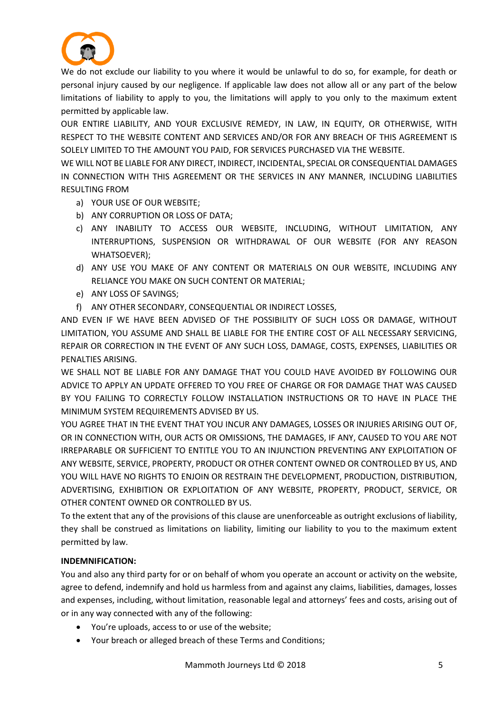

We do not exclude our liability to you where it would be unlawful to do so, for example, for death or personal injury caused by our negligence. If applicable law does not allow all or any part of the below limitations of liability to apply to you, the limitations will apply to you only to the maximum extent permitted by applicable law.

OUR ENTIRE LIABILITY, AND YOUR EXCLUSIVE REMEDY, IN LAW, IN EQUITY, OR OTHERWISE, WITH RESPECT TO THE WEBSITE CONTENT AND SERVICES AND/OR FOR ANY BREACH OF THIS AGREEMENT IS SOLELY LIMITED TO THE AMOUNT YOU PAID, FOR SERVICES PURCHASED VIA THE WEBSITE.

WE WILL NOT BE LIABLE FOR ANY DIRECT, INDIRECT, INCIDENTAL, SPECIAL OR CONSEQUENTIAL DAMAGES IN CONNECTION WITH THIS AGREEMENT OR THE SERVICES IN ANY MANNER, INCLUDING LIABILITIES RESULTING FROM

- a) YOUR USE OF OUR WEBSITE;
- b) ANY CORRUPTION OR LOSS OF DATA;
- c) ANY INABILITY TO ACCESS OUR WEBSITE, INCLUDING, WITHOUT LIMITATION, ANY INTERRUPTIONS, SUSPENSION OR WITHDRAWAL OF OUR WEBSITE (FOR ANY REASON WHATSOEVER);
- d) ANY USE YOU MAKE OF ANY CONTENT OR MATERIALS ON OUR WEBSITE, INCLUDING ANY RELIANCE YOU MAKE ON SUCH CONTENT OR MATERIAL;
- e) ANY LOSS OF SAVINGS;
- f) ANY OTHER SECONDARY, CONSEQUENTIAL OR INDIRECT LOSSES,

AND EVEN IF WE HAVE BEEN ADVISED OF THE POSSIBILITY OF SUCH LOSS OR DAMAGE, WITHOUT LIMITATION, YOU ASSUME AND SHALL BE LIABLE FOR THE ENTIRE COST OF ALL NECESSARY SERVICING, REPAIR OR CORRECTION IN THE EVENT OF ANY SUCH LOSS, DAMAGE, COSTS, EXPENSES, LIABILITIES OR PENALTIES ARISING.

WE SHALL NOT BE LIABLE FOR ANY DAMAGE THAT YOU COULD HAVE AVOIDED BY FOLLOWING OUR ADVICE TO APPLY AN UPDATE OFFERED TO YOU FREE OF CHARGE OR FOR DAMAGE THAT WAS CAUSED BY YOU FAILING TO CORRECTLY FOLLOW INSTALLATION INSTRUCTIONS OR TO HAVE IN PLACE THE MINIMUM SYSTEM REQUIREMENTS ADVISED BY US.

YOU AGREE THAT IN THE EVENT THAT YOU INCUR ANY DAMAGES, LOSSES OR INJURIES ARISING OUT OF, OR IN CONNECTION WITH, OUR ACTS OR OMISSIONS, THE DAMAGES, IF ANY, CAUSED TO YOU ARE NOT IRREPARABLE OR SUFFICIENT TO ENTITLE YOU TO AN INJUNCTION PREVENTING ANY EXPLOITATION OF ANY WEBSITE, SERVICE, PROPERTY, PRODUCT OR OTHER CONTENT OWNED OR CONTROLLED BY US, AND YOU WILL HAVE NO RIGHTS TO ENJOIN OR RESTRAIN THE DEVELOPMENT, PRODUCTION, DISTRIBUTION, ADVERTISING, EXHIBITION OR EXPLOITATION OF ANY WEBSITE, PROPERTY, PRODUCT, SERVICE, OR OTHER CONTENT OWNED OR CONTROLLED BY US.

To the extent that any of the provisions of this clause are unenforceable as outright exclusions of liability, they shall be construed as limitations on liability, limiting our liability to you to the maximum extent permitted by law.

# **INDEMNIFICATION:**

You and also any third party for or on behalf of whom you operate an account or activity on the website, agree to defend, indemnify and hold us harmless from and against any claims, liabilities, damages, losses and expenses, including, without limitation, reasonable legal and attorneys' fees and costs, arising out of or in any way connected with any of the following:

- You're uploads, access to or use of the website;
- Your breach or alleged breach of these Terms and Conditions;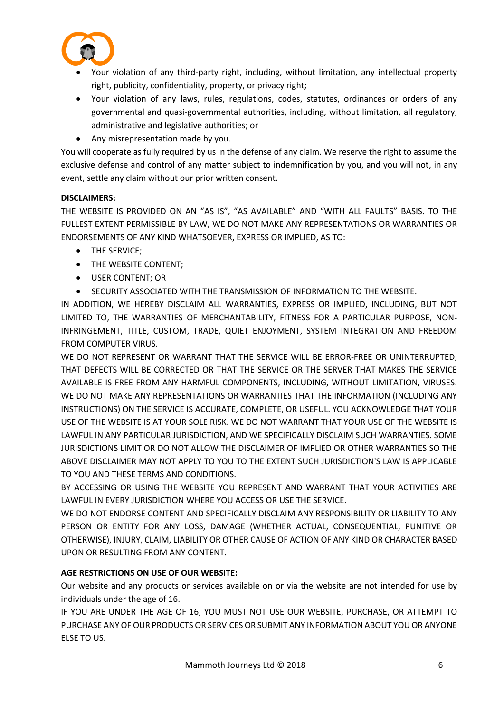

- Your violation of any third-party right, including, without limitation, any intellectual property right, publicity, confidentiality, property, or privacy right;
- Your violation of any laws, rules, regulations, codes, statutes, ordinances or orders of any governmental and quasi-governmental authorities, including, without limitation, all regulatory, administrative and legislative authorities; or
- Any misrepresentation made by you.

You will cooperate as fully required by us in the defense of any claim. We reserve the right to assume the exclusive defense and control of any matter subject to indemnification by you, and you will not, in any event, settle any claim without our prior written consent.

# **DISCLAIMERS:**

THE WEBSITE IS PROVIDED ON AN "AS IS", "AS AVAILABLE" AND "WITH ALL FAULTS" BASIS. TO THE FULLEST EXTENT PERMISSIBLE BY LAW, WE DO NOT MAKE ANY REPRESENTATIONS OR WARRANTIES OR ENDORSEMENTS OF ANY KIND WHATSOEVER, EXPRESS OR IMPLIED, AS TO:

- THE SERVICE;
- THE WEBSITE CONTENT;
- USER CONTENT; OR
- SECURITY ASSOCIATED WITH THE TRANSMISSION OF INFORMATION TO THE WEBSITE.

IN ADDITION, WE HEREBY DISCLAIM ALL WARRANTIES, EXPRESS OR IMPLIED, INCLUDING, BUT NOT LIMITED TO, THE WARRANTIES OF MERCHANTABILITY, FITNESS FOR A PARTICULAR PURPOSE, NON-INFRINGEMENT, TITLE, CUSTOM, TRADE, QUIET ENJOYMENT, SYSTEM INTEGRATION AND FREEDOM FROM COMPUTER VIRUS.

WE DO NOT REPRESENT OR WARRANT THAT THE SERVICE WILL BE ERROR-FREE OR UNINTERRUPTED, THAT DEFECTS WILL BE CORRECTED OR THAT THE SERVICE OR THE SERVER THAT MAKES THE SERVICE AVAILABLE IS FREE FROM ANY HARMFUL COMPONENTS, INCLUDING, WITHOUT LIMITATION, VIRUSES. WE DO NOT MAKE ANY REPRESENTATIONS OR WARRANTIES THAT THE INFORMATION (INCLUDING ANY INSTRUCTIONS) ON THE SERVICE IS ACCURATE, COMPLETE, OR USEFUL. YOU ACKNOWLEDGE THAT YOUR USE OF THE WEBSITE IS AT YOUR SOLE RISK. WE DO NOT WARRANT THAT YOUR USE OF THE WEBSITE IS LAWFUL IN ANY PARTICULAR JURISDICTION, AND WE SPECIFICALLY DISCLAIM SUCH WARRANTIES. SOME JURISDICTIONS LIMIT OR DO NOT ALLOW THE DISCLAIMER OF IMPLIED OR OTHER WARRANTIES SO THE ABOVE DISCLAIMER MAY NOT APPLY TO YOU TO THE EXTENT SUCH JURISDICTION'S LAW IS APPLICABLE TO YOU AND THESE TERMS AND CONDITIONS.

BY ACCESSING OR USING THE WEBSITE YOU REPRESENT AND WARRANT THAT YOUR ACTIVITIES ARE LAWFUL IN EVERY JURISDICTION WHERE YOU ACCESS OR USE THE SERVICE.

WE DO NOT ENDORSE CONTENT AND SPECIFICALLY DISCLAIM ANY RESPONSIBILITY OR LIABILITY TO ANY PERSON OR ENTITY FOR ANY LOSS, DAMAGE (WHETHER ACTUAL, CONSEQUENTIAL, PUNITIVE OR OTHERWISE), INJURY, CLAIM, LIABILITY OR OTHER CAUSE OF ACTION OF ANY KIND OR CHARACTER BASED UPON OR RESULTING FROM ANY CONTENT.

# **AGE RESTRICTIONS ON USE OF OUR WEBSITE:**

Our website and any products or services available on or via the website are not intended for use by individuals under the age of 16.

IF YOU ARE UNDER THE AGE OF 16, YOU MUST NOT USE OUR WEBSITE, PURCHASE, OR ATTEMPT TO PURCHASE ANY OF OUR PRODUCTS OR SERVICES OR SUBMIT ANY INFORMATION ABOUT YOU OR ANYONE ELSE TO US.